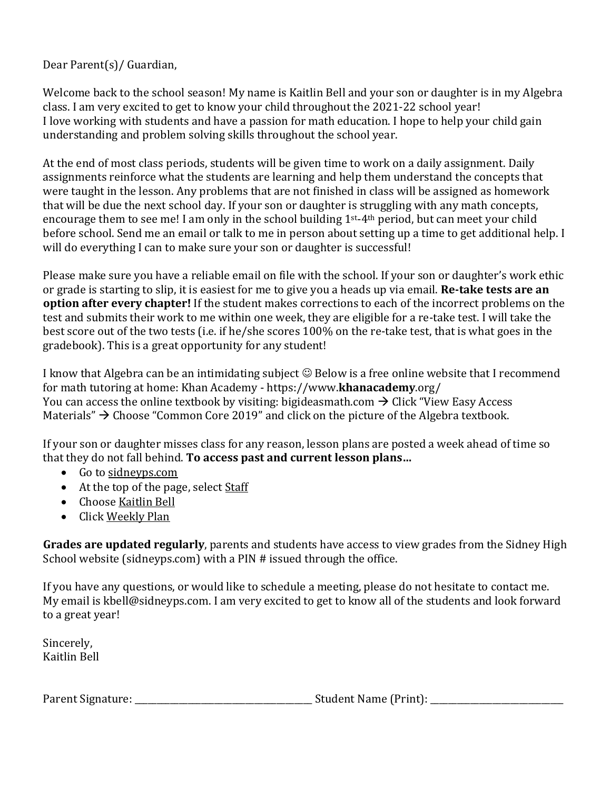Dear Parent(s)/ Guardian,

Welcome back to the school season! My name is Kaitlin Bell and your son or daughter is in my Algebra class. I am very excited to get to know your child throughout the 2021-22 school year! I love working with students and have a passion for math education. I hope to help your child gain understanding and problem solving skills throughout the school year.

At the end of most class periods, students will be given time to work on a daily assignment. Daily assignments reinforce what the students are learning and help them understand the concepts that were taught in the lesson. Any problems that are not finished in class will be assigned as homework that will be due the next school day. If your son or daughter is struggling with any math concepts, encourage them to see me! I am only in the school building 1st-4th period, but can meet your child before school. Send me an email or talk to me in person about setting up a time to get additional help. I will do everything I can to make sure your son or daughter is successful!

Please make sure you have a reliable email on file with the school. If your son or daughter's work ethic or grade is starting to slip, it is easiest for me to give you a heads up via email. **Re-take tests are an option after every chapter!** If the student makes corrections to each of the incorrect problems on the test and submits their work to me within one week, they are eligible for a re-take test. I will take the best score out of the two tests (i.e. if he/she scores 100% on the re-take test, that is what goes in the gradebook). This is a great opportunity for any student!

I know that Algebra can be an intimidating subject  $\odot$  Below is a free online website that I recommend for math tutoring at home: Khan Academy - https://www.**[khanacademy](https://www.khanacademy.org/)**.org/ You can access the online textbook by visiting: bigideasmath.com  $\rightarrow$  Click "View Easy Access" Materials"  $\rightarrow$  Choose "Common Core 2019" and click on the picture of the Algebra textbook.

If your son or daughter misses class for any reason, lesson plans are posted a week ahead of time so that they do not fall behind. **To access past and current lesson plans…**

- Go to sidneyps.com
- At the top of the page, select Staff
- Choose Kaitlin Bell
- Click Weekly Plan

**Grades are updated regularly**, parents and students have access to view grades from the Sidney High School website (sidneyps.com) with a PIN # issued through the office.

If you have any questions, or would like to schedule a meeting, please do not hesitate to contact me. My email is kbell@sidneyps.com. I am very excited to get to know all of the students and look forward to a great year!

Sincerely, Kaitlin Bell

Parent Signature: \_\_\_\_\_\_\_\_\_\_\_\_\_\_\_\_\_\_\_\_\_\_\_\_\_\_\_\_\_\_\_\_\_\_\_\_\_\_\_\_ Student Name (Print): \_\_\_\_\_\_\_\_\_\_\_\_\_\_\_\_\_\_\_\_\_\_\_\_\_\_\_\_\_\_